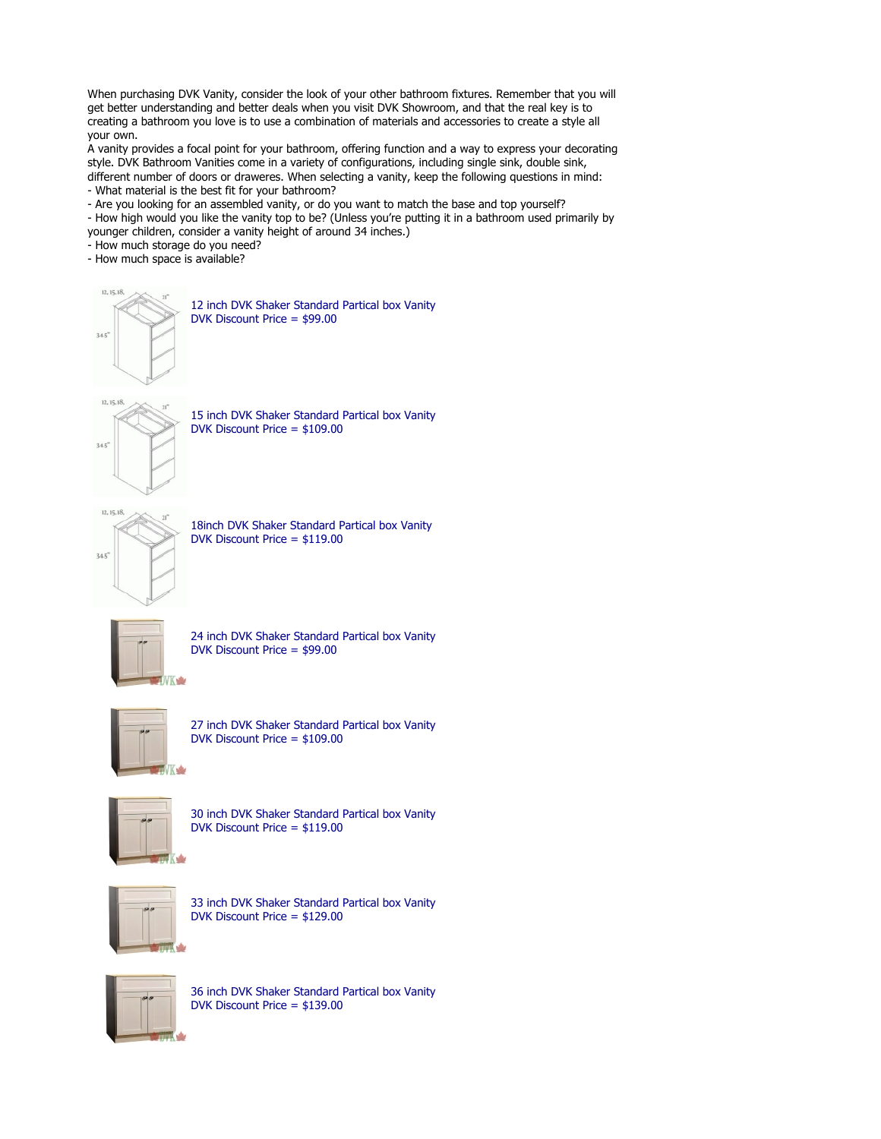When purchasing DVK Vanity, consider the look of your other bathroom fixtures. Remember that you will get better understanding and better deals when you visit DVK Showroom, and that the real key is to creating a bathroom you love is to use a combination of materials and accessories to create a style all your own.

A vanity provides a focal point for your bathroom, offering function and a way to express your decorating style. DVK Bathroom Vanities come in a variety of configurations, including single sink, double sink, different number of doors or draweres. When selecting a vanity, keep the following questions in mind:

- What material is the best fit for your bathroom?
- Are you looking for an assembled vanity, or do you want to match the base and top yourself?
- How high would you like the vanity top to be? (Unless you're putting it in a bathroom used primarily by younger children, consider a vanity height of around 34 inches.)
- How much storage do you need?
- How much space is available?



12, 15, 18

12 inch DVK Shaker Standard Partical box Vanity DVK Discount Price = \$99.00

15 inch DVK Shaker Standard Partical box Vanity DVK Discount Price = \$109.00



18inch DVK Shaker Standard Partical box Vanity DVK Discount Price = \$119.00



24 inch DVK Shaker Standard Partical box Vanity DVK Discount Price = \$99.00



27 inch DVK Shaker Standard Partical box Vanity DVK Discount Price = \$109.00



30 inch DVK Shaker Standard Partical box Vanity DVK Discount Price = \$119.00



33 inch DVK Shaker Standard Partical box Vanity DVK Discount Price = \$129.00



36 inch DVK Shaker Standard Partical box Vanity DVK Discount Price = \$139.00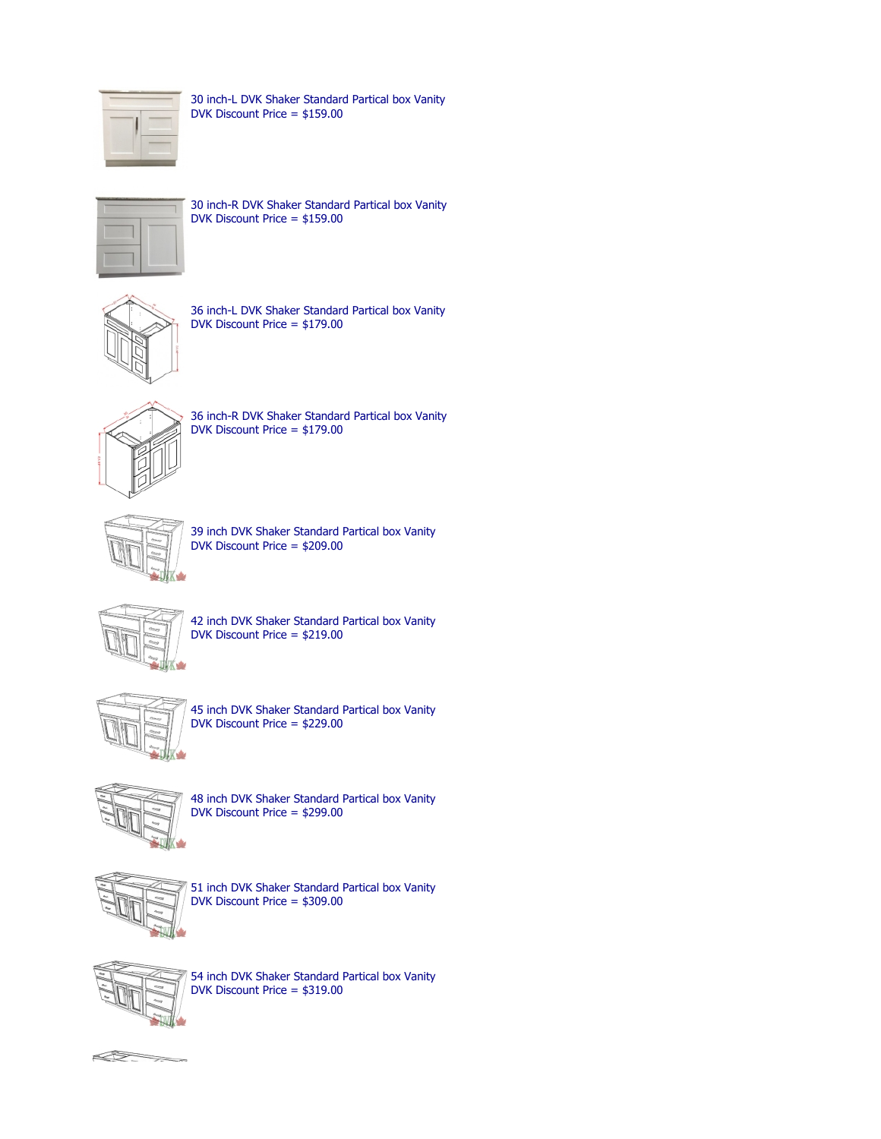

30 inch-L DVK Shaker Standard Partical box Vanity DVK Discount Price = \$159.00



30 inch-R DVK Shaker Standard Partical box Vanity DVK Discount Price = \$159.00



36 inch-L DVK Shaker Standard Partical box Vanity DVK Discount Price = \$179.00



36 inch-R DVK Shaker Standard Partical box Vanity DVK Discount Price = \$179.00



39 inch DVK Shaker Standard Partical box Vanity DVK Discount Price = \$209.00



42 inch DVK Shaker Standard Partical box Vanity DVK Discount Price = \$219.00



45 inch DVK Shaker Standard Partical box Vanity DVK Discount Price = \$229.00



48 inch DVK Shaker Standard Partical box Vanity DVK Discount Price = \$299.00



51 inch DVK Shaker Standard Partical box Vanity DVK Discount Price = \$309.00



54 inch DVK Shaker Standard Partical box Vanity DVK Discount Price = \$319.00